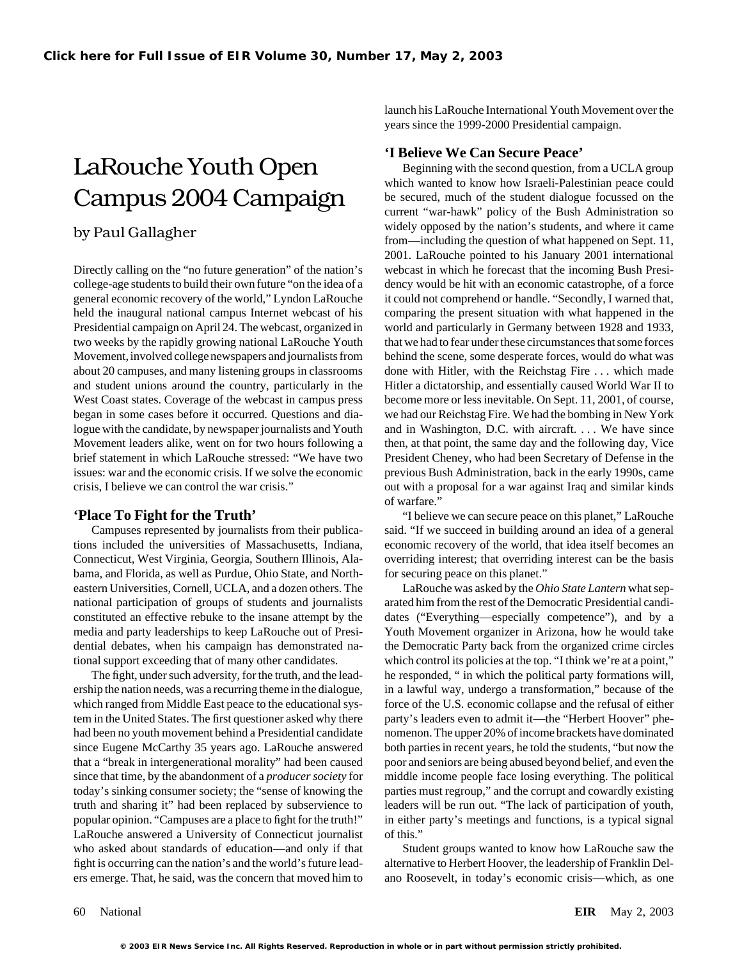# **LaRouche Youth Open Can Secure Peace' Believe We Can Secure Peace' Beginning with the second question**, from a UCLA group

Directly calling on the "no future generation" of the nation's webcast in which he forecast that the incoming Bush Presicollege-age students to build their own future "on the idea of a dency would be hit with an economic catastrophe, of a force general economic recovery of the world," Lyndon LaRouche it could not comprehend or handle. "Secondly, I warned that, held the inaugural national campus Internet webcast of his comparing the present situation with what happened in the Presidential campaign on April 24. The webcast, organized in world and particularly in Germany between 1928 and 1933, two weeks by the rapidly growing national LaRouche Youth that we had to fear under these circumstances that some forces Movement, involved college newspapers and journalists from behind the scene, some desperate forces, would do what was about 20 campuses, and many listening groups in classrooms done with Hitler, with the Reichstag Fire . . . which made and student unions around the country, particularly in the Hitler a dictatorship, and essentially caused World War II to West Coast states. Coverage of the webcast in campus press become more or less inevitable. On Sept. 11, 2001, of course, began in some cases before it occurred. Questions and dia- we had our Reichstag Fire. We had the bombing in New York logue with the candidate, by newspaper journalists and Youth and in Washington, D.C. with aircraft. . . . We have since Movement leaders alike, went on for two hours following a then, at that point, the same day and the following day, Vice brief statement in which LaRouche stressed: "We have two President Cheney, who had been Secretary of Defense in the issues: war and the economic crisis. If we solve the economic previous Bush Administration, back in the early 1990s, came crisis, I believe we can control the war crisis." out with a proposal for a war against Iraq and similar kinds

tions included the universities of Massachusetts, Indiana, economic recovery of the world, that idea itself becomes an Connecticut, West Virginia, Georgia, Southern Illinois, Ala- overriding interest; that overriding interest can be the basis bama, and Florida, as well as Purdue, Ohio State, and North-<br>for securing peace on this planet." eastern Universities, Cornell, UCLA, and a dozen others. The LaRouche was asked by the *Ohio State Lantern* what sepnational participation of groups of students and journalists arated him from the rest of the Democratic Presidential candiconstituted an effective rebuke to the insane attempt by the dates ("Everything—especially competence"), and by a media and party leaderships to keep LaRouche out of Presi- Youth Movement organizer in Arizona, how he would take dential debates, when his campaign has demonstrated na- the Democratic Party back from the organized crime circles tional support exceeding that of many other candidates. which control its policies at the top. "I think we're at a point,"

ership the nation needs, was a recurring theme in the dialogue, in a lawful way, undergo a transformation," because of the which ranged from Middle East peace to the educational sys-<br>force of the U.S. economic collapse and the refusal of either tem in the United States. The first questioner asked why there party's leaders even to admit it—the "Herbert Hoover" phehad been no youth movement behind a Presidential candidate nomenon. The upper 20% of income brackets have dominated since Eugene McCarthy 35 years ago. LaRouche answered both parties in recent years, he told the students, "but now the that a "break in intergenerational morality" had been caused poor and seniors are being abused beyond belief, and even the since that time, by the abandonment of a *producer society* for middle income people face losing everything. The political today's sinking consumer society; the "sense of knowing the parties must regroup," and the corrupt and cowardly existing truth and sharing it" had been replaced by subservience to leaders will be run out. "The lack of participation of youth, popular opinion. "Campuses are a place to fight for the truth!" in either party's meetings and functions, is a typical signal LaRouche answered a University of Connecticut journalist of this." who asked about standards of education—and only if that Student groups wanted to know how LaRouche saw the fight is occurring can the nation's and the world's future lead- alternative to Herbert Hoover, the leadership of Franklin Delers emerge. That, he said, was the concern that moved him to ano Roosevelt, in today's economic crisis—which, as one

launch his LaRouche International Youth Movement over the years since the 1999-2000 Presidential campaign.

which wanted to know how Israeli-Palestinian peace could Campus 2004 Campaign be secured, much of the student dialogue focussed on the current "war-hawk" policy of the Bush Administration so by Paul Gallagher by Paul Gallagher by Paul Gallagher from—including the question of what happened on Sept. 11, 2001. LaRouche pointed to his January 2001 international of warfare."

**'Place To Fight for the Truth'** "I believe we can secure peace on this planet," LaRouche Campuses represented by journalists from their publica- said. "If we succeed in building around an idea of a general

The fight, under such adversity, for the truth, and the lead- he responded, " in which the political party formations will,